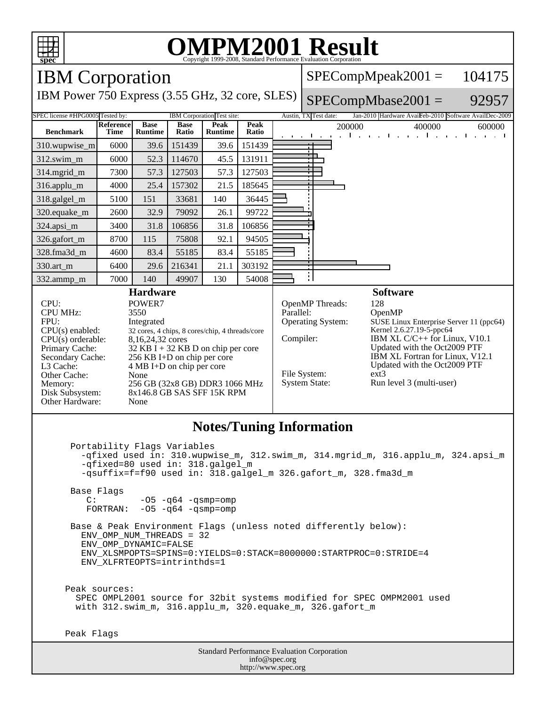

 $-05$   $-q64$   $-qsmp=omp$ 

 Base & Peak Environment Flags (unless noted differently below): ENV\_OMP\_NUM\_THREADS = 32 ENV\_OMP\_DYNAMIC=FALSE ENV\_XLSMPOPTS=SPINS=0:YIELDS=0:STACK=8000000:STARTPROC=0:STRIDE=4 ENV\_XLFRTEOPTS=intrinthds=1

 Peak sources: SPEC OMPL2001 source for 32bit systems modified for SPEC OMPM2001 used with 312.swim\_m, 316.applu\_m, 320.equake\_m, 326.gafort\_m

Peak Flags

Standard Performance Evaluation Corporation info@spec.org http://www.spec.org